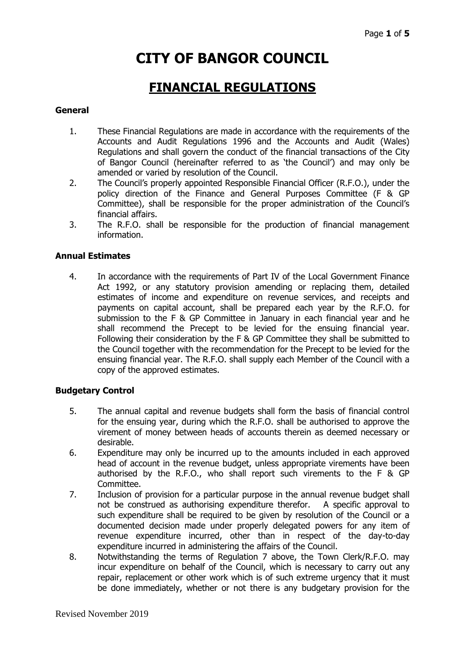# **CITY OF BANGOR COUNCIL**

# **FINANCIAL REGULATIONS**

#### **General**

- 1. These Financial Regulations are made in accordance with the requirements of the Accounts and Audit Regulations 1996 and the Accounts and Audit (Wales) Regulations and shall govern the conduct of the financial transactions of the City of Bangor Council (hereinafter referred to as 'the Council') and may only be amended or varied by resolution of the Council.
- 2. The Council's properly appointed Responsible Financial Officer (R.F.O.), under the policy direction of the Finance and General Purposes Committee (F & GP Committee), shall be responsible for the proper administration of the Council's financial affairs.
- 3. The R.F.O. shall be responsible for the production of financial management information.

#### **Annual Estimates**

4. In accordance with the requirements of Part IV of the Local Government Finance Act 1992, or any statutory provision amending or replacing them, detailed estimates of income and expenditure on revenue services, and receipts and payments on capital account, shall be prepared each year by the R.F.O. for submission to the F & GP Committee in January in each financial year and he shall recommend the Precept to be levied for the ensuing financial year. Following their consideration by the F & GP Committee they shall be submitted to the Council together with the recommendation for the Precept to be levied for the ensuing financial year. The R.F.O. shall supply each Member of the Council with a copy of the approved estimates.

#### **Budgetary Control**

- 5. The annual capital and revenue budgets shall form the basis of financial control for the ensuing year, during which the R.F.O. shall be authorised to approve the virement of money between heads of accounts therein as deemed necessary or desirable.
- 6. Expenditure may only be incurred up to the amounts included in each approved head of account in the revenue budget, unless appropriate virements have been authorised by the R.F.O., who shall report such virements to the F & GP Committee.
- 7. Inclusion of provision for a particular purpose in the annual revenue budget shall not be construed as authorising expenditure therefor. A specific approval to such expenditure shall be required to be given by resolution of the Council or a documented decision made under properly delegated powers for any item of revenue expenditure incurred, other than in respect of the day-to-day expenditure incurred in administering the affairs of the Council.
- 8. Notwithstanding the terms of Regulation 7 above, the Town Clerk/R.F.O. may incur expenditure on behalf of the Council, which is necessary to carry out any repair, replacement or other work which is of such extreme urgency that it must be done immediately, whether or not there is any budgetary provision for the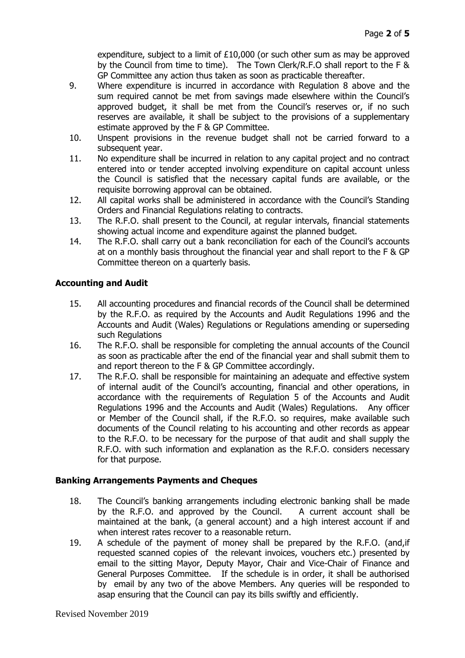expenditure, subject to a limit of  $£10,000$  (or such other sum as may be approved by the Council from time to time). The Town Clerk/R.F.O shall report to the F & GP Committee any action thus taken as soon as practicable thereafter.

- 9. Where expenditure is incurred in accordance with Regulation 8 above and the sum required cannot be met from savings made elsewhere within the Council's approved budget, it shall be met from the Council's reserves or, if no such reserves are available, it shall be subject to the provisions of a supplementary estimate approved by the F & GP Committee.
- 10. Unspent provisions in the revenue budget shall not be carried forward to a subsequent year.
- 11. No expenditure shall be incurred in relation to any capital project and no contract entered into or tender accepted involving expenditure on capital account unless the Council is satisfied that the necessary capital funds are available, or the requisite borrowing approval can be obtained.
- 12. All capital works shall be administered in accordance with the Council's Standing Orders and Financial Regulations relating to contracts.
- 13. The R.F.O. shall present to the Council, at regular intervals, financial statements showing actual income and expenditure against the planned budget.
- 14. The R.F.O. shall carry out a bank reconciliation for each of the Council's accounts at on a monthly basis throughout the financial year and shall report to the F & GP Committee thereon on a quarterly basis.

# **Accounting and Audit**

- 15. All accounting procedures and financial records of the Council shall be determined by the R.F.O. as required by the Accounts and Audit Regulations 1996 and the Accounts and Audit (Wales) Regulations or Regulations amending or superseding such Regulations
- 16. The R.F.O. shall be responsible for completing the annual accounts of the Council as soon as practicable after the end of the financial year and shall submit them to and report thereon to the F & GP Committee accordingly.
- 17. The R.F.O. shall be responsible for maintaining an adequate and effective system of internal audit of the Council's accounting, financial and other operations, in accordance with the requirements of Regulation 5 of the Accounts and Audit Regulations 1996 and the Accounts and Audit (Wales) Regulations. Any officer or Member of the Council shall, if the R.F.O. so requires, make available such documents of the Council relating to his accounting and other records as appear to the R.F.O. to be necessary for the purpose of that audit and shall supply the R.F.O. with such information and explanation as the R.F.O. considers necessary for that purpose.

# **Banking Arrangements Payments and Cheques**

- 18. The Council's banking arrangements including electronic banking shall be made by the R.F.O. and approved by the Council. A current account shall be maintained at the bank, (a general account) and a high interest account if and when interest rates recover to a reasonable return.
- 19. A schedule of the payment of money shall be prepared by the R.F.O. (and,if requested scanned copies of the relevant invoices, vouchers etc.) presented by email to the sitting Mayor, Deputy Mayor, Chair and Vice-Chair of Finance and General Purposes Committee. If the schedule is in order, it shall be authorised by email by any two of the above Members. Any queries will be responded to asap ensuring that the Council can pay its bills swiftly and efficiently.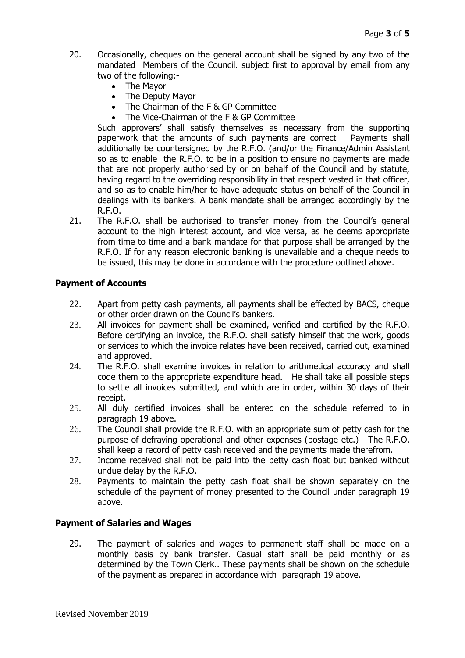- 20. Occasionally, cheques on the general account shall be signed by any two of the mandated Members of the Council. subject first to approval by email from any two of the following:-
	- The Mayor
	- The Deputy Mayor
	- The Chairman of the F & GP Committee
	- The Vice-Chairman of the F & GP Committee

Such approvers' shall satisfy themselves as necessary from the supporting paperwork that the amounts of such payments are correct Payments shall additionally be countersigned by the R.F.O. (and/or the Finance/Admin Assistant so as to enable the R.F.O. to be in a position to ensure no payments are made that are not properly authorised by or on behalf of the Council and by statute, having regard to the overriding responsibility in that respect vested in that officer, and so as to enable him/her to have adequate status on behalf of the Council in dealings with its bankers. A bank mandate shall be arranged accordingly by the R.F.O.

21. The R.F.O. shall be authorised to transfer money from the Council's general account to the high interest account, and vice versa, as he deems appropriate from time to time and a bank mandate for that purpose shall be arranged by the R.F.O. If for any reason electronic banking is unavailable and a cheque needs to be issued, this may be done in accordance with the procedure outlined above.

#### **Payment of Accounts**

- 22. Apart from petty cash payments, all payments shall be effected by BACS, cheque or other order drawn on the Council's bankers.
- 23. All invoices for payment shall be examined, verified and certified by the R.F.O. Before certifying an invoice, the R.F.O. shall satisfy himself that the work, goods or services to which the invoice relates have been received, carried out, examined and approved.
- 24. The R.F.O. shall examine invoices in relation to arithmetical accuracy and shall code them to the appropriate expenditure head. He shall take all possible steps to settle all invoices submitted, and which are in order, within 30 days of their receipt.
- 25. All duly certified invoices shall be entered on the schedule referred to in paragraph 19 above.
- 26. The Council shall provide the R.F.O. with an appropriate sum of petty cash for the purpose of defraying operational and other expenses (postage etc.) The R.F.O. shall keep a record of petty cash received and the payments made therefrom.
- 27. Income received shall not be paid into the petty cash float but banked without undue delay by the R.F.O.
- 28. Payments to maintain the petty cash float shall be shown separately on the schedule of the payment of money presented to the Council under paragraph 19 above.

#### **Payment of Salaries and Wages**

29. The payment of salaries and wages to permanent staff shall be made on a monthly basis by bank transfer. Casual staff shall be paid monthly or as determined by the Town Clerk.. These payments shall be shown on the schedule of the payment as prepared in accordance with paragraph 19 above.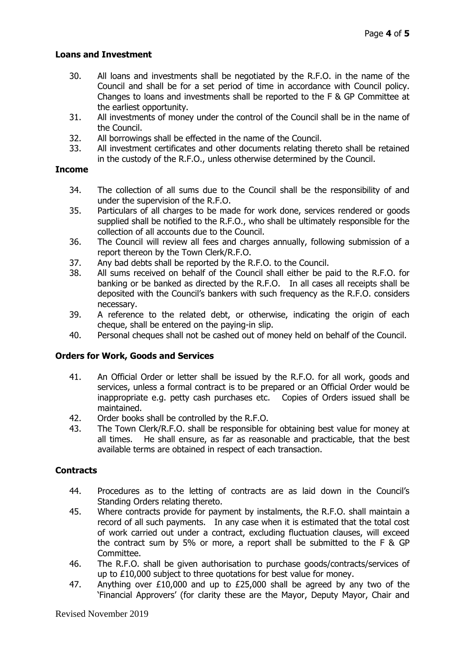#### **Loans and Investment**

- 30. All loans and investments shall be negotiated by the R.F.O. in the name of the Council and shall be for a set period of time in accordance with Council policy. Changes to loans and investments shall be reported to the F & GP Committee at the earliest opportunity.
- 31. All investments of money under the control of the Council shall be in the name of the Council.
- 32. All borrowings shall be effected in the name of the Council.
- 33. All investment certificates and other documents relating thereto shall be retained in the custody of the R.F.O., unless otherwise determined by the Council.

#### **Income**

- 34. The collection of all sums due to the Council shall be the responsibility of and under the supervision of the R.F.O.
- 35. Particulars of all charges to be made for work done, services rendered or goods supplied shall be notified to the R.F.O., who shall be ultimately responsible for the collection of all accounts due to the Council.
- 36. The Council will review all fees and charges annually, following submission of a report thereon by the Town Clerk/R.F.O.
- 37. Any bad debts shall be reported by the R.F.O. to the Council.
- 38. All sums received on behalf of the Council shall either be paid to the R.F.O. for banking or be banked as directed by the R.F.O. In all cases all receipts shall be deposited with the Council's bankers with such frequency as the R.F.O. considers necessary.
- 39. A reference to the related debt, or otherwise, indicating the origin of each cheque, shall be entered on the paying-in slip.
- 40. Personal cheques shall not be cashed out of money held on behalf of the Council.

# **Orders for Work, Goods and Services**

- 41. An Official Order or letter shall be issued by the R.F.O. for all work, goods and services, unless a formal contract is to be prepared or an Official Order would be inappropriate e.g. petty cash purchases etc. Copies of Orders issued shall be maintained.
- 42. Order books shall be controlled by the R.F.O.
- 43. The Town Clerk/R.F.O. shall be responsible for obtaining best value for money at all times. He shall ensure, as far as reasonable and practicable, that the best available terms are obtained in respect of each transaction.

#### **Contracts**

- 44. Procedures as to the letting of contracts are as laid down in the Council's Standing Orders relating thereto.
- 45. Where contracts provide for payment by instalments, the R.F.O. shall maintain a record of all such payments. In any case when it is estimated that the total cost of work carried out under a contract, excluding fluctuation clauses, will exceed the contract sum by 5% or more, a report shall be submitted to the F & GP Committee.
- 46. The R.F.O. shall be given authorisation to purchase goods/contracts/services of up to £10,000 subject to three quotations for best value for money.
- 47. Anything over £10,000 and up to £25,000 shall be agreed by any two of the 'Financial Approvers' (for clarity these are the Mayor, Deputy Mayor, Chair and

Revised November 2019